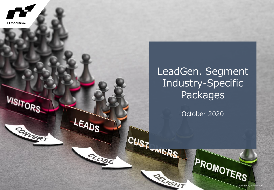

### LeadGen. Segment Industry-Specific **Packages**

October 2020

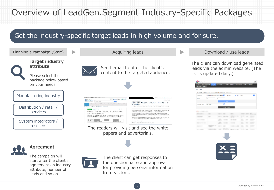### Overview of LeadGen.Segment Industry-Specific Packages

### Get the industry-specific target leads in high volume and for sure.

from visitors.

attribute, number of leads and so on.

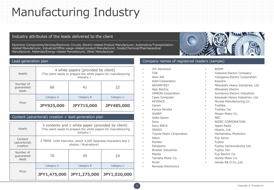## Manufacturing Industry

### Industry attributes of the leads delivered to the client

Electronic Components/Devices/Electronic Circuits, Electric-related Product Manufacturer, Automotive/Transportationrelated Manufacturer, Industrial/Office usage-related product Manufacturer, Foods/Chemical/Pharmaceutical Manufacturer, Materials/Energy-related Manufacturer, Other Manufacturer

| Assets                           | 4 white papers (provided by client)<br>(The client needs to prepare the white papers for manufacturing<br>industry.) |                   |                   |  |  |
|----------------------------------|----------------------------------------------------------------------------------------------------------------------|-------------------|-------------------|--|--|
| Number of<br>quaranteed<br>leads | 66                                                                                                                   | 22                |                   |  |  |
|                                  | Category A                                                                                                           | Category B        | Category C        |  |  |
| Price                            | <b>JPY925,000</b>                                                                                                    | <b>JPY715,000</b> | <b>JPY485,000</b> |  |  |

#### Content (advertorial) creation + lead generation plan

| Assets                               | 3 contents and 1 white paper (provided by client)<br>(The client needs to prepare the white papers for manufacturing<br>industry.) |              |              |  |  |  |
|--------------------------------------|------------------------------------------------------------------------------------------------------------------------------------|--------------|--------------|--|--|--|
| Content<br>(advertorial)<br>creation | 1 html (with interview, about 3,000 Japanese characters and 2<br>photos / illustrations)                                           |              |              |  |  |  |
| Number of<br>quaranteed<br>leads     | 70                                                                                                                                 | 45           | 24           |  |  |  |
|                                      | Category A                                                                                                                         | Category B   | Category C   |  |  |  |
| Price                                | JPY1,475,000                                                                                                                       | JPY1,275,000 | JPY1,020,000 |  |  |  |

#### Lead generation plan Company names of registered readers (sample)

- JVC Kenwood
- TDK
- Aisin AW
- Azbil Corporation
- ADVANTEST
- Alps Electric
- OMRON Corporation
- Casio Computer
- KEYENCE
- Canon
- Konica Minolta
- **SHARP**
- Seiko Epson
- Sony
- Sony EMCS
- DENSO
- Toyota Motor Corporation
- Nikon
- Pioneer
- Panasonic
- Brother Industries
- Mazda
- Yamaha Motor Co.
- Ricoh
- Renesas Electronics
- ROHM
	- Yaskawa Electric Company
	- Yokogawa Electric Corporation
- Kyocera
- Mitsubishi Heavy Industries, Ltd.
- Mitsubishi Electric
- Sumitomo Electric Industries
- Kawasaki Heavy Industries, Ltd.
- Murata Manufacturing Co.
- Toshiba
- Toshiba Tec
- Nissan Motor Co.
- NEC
- NIDEC CORPORATION
- Japan Radio
- Hitachi, Ltd.
- Hamamatsu Photonics
- Fuji Xerox
- **Fujitsu**
- Fujitsu Semiconductor Ltd.
- Fujitsu Ten
- Fuji Electric Co.
- Honda Motor Co.
- Honda R& D Co.,Ltd.



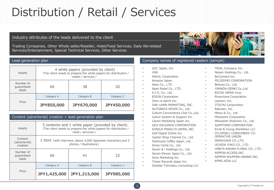# Distribution / Retail / Services

#### Industry attributes of the leads delivered to the client

Trading Companies, Other Whole seller/Reseller, Hotel/Food Services, Daily life-related Services/Entertainment, Special Technical Services, Other Services



| Assets                           | 4 white papers (provided by client)<br>(The client needs to prepare the white papers for distribution /<br>retails / services.) |                   |            |  |  |
|----------------------------------|---------------------------------------------------------------------------------------------------------------------------------|-------------------|------------|--|--|
| Number of<br>guaranteed<br>leads | 60                                                                                                                              | 20                |            |  |  |
|                                  | Category A                                                                                                                      | Category B        | Category C |  |  |
| Price                            | <b>JPY850,000</b>                                                                                                               | <b>JPY670,000</b> | JPY450,000 |  |  |

Assets 3 contents and 1 white paper (provided by client) (The client needs to prepare the white papers for distribution / retail / services.) **Content** (advertorial) creation 1 html(with interview, about 3,000 Japanese characters and 2 photos / illustrations) Number of guaranteed leads 66 41 22 Price Category A Category B Category C **JPY1,425,000 JPY1,215,000 JPY985,000** Content (advertorial) creation + lead generation plan

#### Lead generation plan Company names of registered readers (sample)

- QVC Japan, Inc.
- VSN
- ASKUL Corporation
- Amazon Japan
- Aeon Co., LTD.
- Aeon Retail Co., LTD.
- H.I.S. Co., Ltd.
- EDION Corporation
- Oisix ra daichi Inc.
- OAK LAWN MARKETING, INC.
- AUTOBACS SEVEN Co., Ltd.
- Culture Convenience Club Co.,Ltd.
- Canon System & Support Inc.
- Canon Marketing Japan Inc.
- GEO HOLDINGS CORPORATION
- KONICA MINOLTA JAPAN, INC.
- Golf Digest Online Inc.
- Jupiter Shop Channel Co., Ltd.
- Starbucks Coffee Japan, Ltd.
- Dinos Cecile Co., Ltd.
- Seven & i Holdings Co., Ltd.
- Seven-Eleven Japan Co., Ltd.
- Sony Marketing Inc.
- Tower Records Japan Inc.
- Deloitte Tohmatsu Consulting LLC
- TRIAL Company Inc.
	- Nissen Holdings Co., Ltd.
- BicCamera Inc.
- **FFI ISSIMO CORPORATION**
- Belluna Co., Ltd.
- YAMADA-DENKI Co.,Ltd.
- RICOH JAPAN Corp.
- Rivercrane Corporation
- Lawson, Inc.
- ITOCHU Corporation.
- Rakuten, Inc.
- Mitsui & Co., Ltd.
- Mitsubishi Corporation
- Mitsubishi Shokuhin Co., Ltd.
- SUMITOMO CORPORATION
- Ernst & Young ShinNihon LLC
- CO-OPDELI CONSUMERS' CO-OPERATIVE UNION
- SENSHUKAI CO., LTD.
- UCHIDA YOKO CO., LTD.
- HIBIYA-KADAN FLORAL CO., LTD.
- NIPPON ACCESS,INC.
- NIPPON SHUPPAN HANBAI INC.
- KPMG AZSA II C

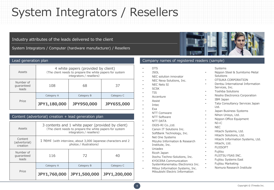## System Integrators / Resellers

### Industry attributes of the leads delivered to the client

System Integrators / Computer (hardware manufacturer) / Resellers

| Assets                           | 4 white papers (provided by client)<br>(The client needs to prepare the white papers for system<br>integrators / resellers) |                   |                   |  |
|----------------------------------|-----------------------------------------------------------------------------------------------------------------------------|-------------------|-------------------|--|
| Number of<br>quaranteed<br>leads | 108                                                                                                                         | 37                |                   |  |
|                                  | Category A                                                                                                                  | Category B        | Category C        |  |
| Price                            | JPY1,180,000                                                                                                                | <b>JPY950,000</b> | <b>JPY655,000</b> |  |

#### Content (advertorial) creation + lead generation plan

| Assets                               | 3 contents and 1 white paper (provided by client)<br>(The client needs to prepare the white papers for system<br>integrators / resellers) |              |              |  |  |  |
|--------------------------------------|-------------------------------------------------------------------------------------------------------------------------------------------|--------------|--------------|--|--|--|
| Content<br>(advertorial)<br>creation | 1 html (with interview, about 3,000 Japanese characters and 2<br>photos / illustrations)                                                  |              |              |  |  |  |
| Number of<br>quaranteed<br>leads     | 116                                                                                                                                       | 72           | 40           |  |  |  |
|                                      | Category A                                                                                                                                | Category B   | Category C   |  |  |  |
| Price                                | JPY1,760,000                                                                                                                              | JPY1,500,000 | JPY1,200,000 |  |  |  |

#### Lead generation plan Company names of registered readers (sample)

- DTS
- JSOL
- NEC solution innovator
- NEC Nexa Solutions, Inc.
- NEC Nets SI
- SCSK
- TIS
- Accenture
- Assist
- Intec
- Exa
- NTT Comware
- NTT Software
- NTT DATA
- OGIS-RI Co.,Ltd.
- Canon IT Solutions Inc.
- SoftBank Technology, Inc.
- Net One Systems
- Mizuho Information & Research Institute, Inc.
- Uniadex
- Ricoh Japan
- Itochu Techno-Solutions, Inc.
- KYOCERA Communication SystemKanematsu Electronics Inc.
- Mitsui Information Systems, Inc. Mitsubishi Electric Information

#### Systems

- Nippon Steel & Sumitomo Metal Solutions
- OTSUKA CORPORATION
- Dentsu International Information Services, Inc.
- Toshiba Solutions
- Nissho Electronics Corporation
- IBM Japan
- Tata Consultancy Services Japan Ltd.
- Japan Business Systems
- Nihon Unisys, Ltd.
- Nippon Office Equipment
- $NI+C$
- NEC
- Hitachi Systems, Ltd.
- Hitachi Solutions, Ltd.
- Hitachi Information Systems, Ltd.
- Hitachi, Ltd.
- **FUJISOFT**
- **Fujitsu**
- FUJITSU FSAS INC.
- Fujitsu Systems East
- Fujitsu Marketing
	- Nomura Research Institute



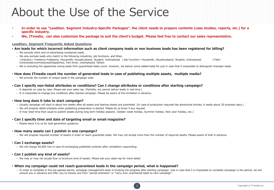## About the Use of the Service

- **In order to use "LeadGen. Segment Industry-Specific Packages", the client needs to prepare contents (case studies, reports, etc.) for a specific industry.**
- **We, ITmedia, can also customize the package to suit the client's budget. Please feel free to contact our sales representative.**

#### **LeadGen. Segment Frequently Asked Questions**

- **Are leads for which incorrect information such as client company leads or non business leads has been registered for billing?**
	- We exclude client and co-advertising companies leads.
	- We also exclude leads who match to the following industries, job functions, and titles; <Industry> Freelance Profession, Housewife, Househusband, Student, Unemployed <Job Function> Housewife, Househusband, Student, Unemployed <Title> Contracted/commissioned/dispatched, Part timer, Unemployed, Others
	- We is excluding the apparently wrong leads from guaranteed leads count, however, we deliver some added leads for just in case that it impossible to distinguish improper leads.

#### • **How does ITmedia count the number of generated leads in case of publishing multiple assets, multiple media?**

- We provide the number of unique leads in the campaign wide.
- **Can I specify non-listed attributes or conditions? Can I change attributes or conditions after starting campaign?**
	- It depends on case by case. Please ask your sales rep. (Partially, we cannot deliver leads in real time.)
	- It is impossible to change any conditions after started campaign. Please be aware of this limitation in advance.

#### • **How long does it take to start campaign?**

- Usually campaign will start in about two weeks after all assets and hearing sheets are submitted. (In case of production required like advertorial articles, it needs about 20 business days.)
- We will propose detail schedule when publishing preparation is started. Please let us know if any request.
- It may need time than usual to publish assets during long term holiday seasons. (Golden week holiday, Summer holiday, New year holiday, etc.)

#### • **Can I specify time and date of targeting email or email magazine?**

– Please leave it to us for lead generation guidance.

#### • **How many assets can I publish in one campaign?**

– We will propose required number of assets in order to reach guarantee leads. We may not accept more than the number of required assets. Please aware of that in advance.

#### • **Can I exchange assets?**

– We will charge 50,000 Yen in case of exchanging published contents after completion copywriting.

#### • **Can I publish any kind of assets?**

– We may or may not accept flyer or brochure kind of assets. Please ask your sales rep for more detail.

#### • **When my campaign could not reach guaranteed leads in the campaign period, what is happened?**

– In order to complete in the pre-agreed period, campaign management team is trucking the progress after starting campaign. Just in case that it is impossible to complete campaign in the period, we will consult you in advance and offer you to choose one from "period extension" or "carry over unachieved leads to next campaign".

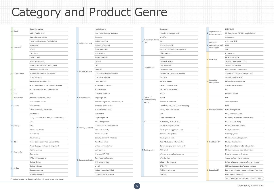# Category and Product Genre

|                      | Cloud Computing                             |                             | Mobile Security                        |                                                   | Groupware                            |  |                                     | BPM / BAM                                       |
|----------------------|---------------------------------------------|-----------------------------|----------------------------------------|---------------------------------------------------|--------------------------------------|--|-------------------------------------|-------------------------------------------------|
| A Cloud              | IaaS / PaaS / BaaS                          |                             | Information leakage measures           |                                                   | Knowledge management                 |  | Improvement of<br>business process  | IT Management / IT St                           |
|                      | Smartphones / tablets                       |                             | Encryption                             |                                                   | Workflow                             |  |                                     | Outsourcing                                     |
|                      | PDA / mobile terminal / cell phones         |                             | Endpoint security                      | Information sharing EIP<br>$\overline{B}$<br>tool |                                      |  | Customer                            | CTI / Help desk                                 |
|                      | Desktop PC                                  | <b>B</b> Endpoint security  | Spyware protection                     |                                                   | Enterprise search                    |  | B management and                    | CRM                                             |
| A Mobile/PC          | Laptop                                      |                             | Spam protection                        |                                                   | Content / Document management        |  | sales support<br>C Marketing        | <b>SFA</b>                                      |
|                      | Thin client                                 |                             | Anti-phishing                          |                                                   | Office software                      |  |                                     | E-commerce                                      |
|                      | POS terminal                                |                             | Targeted attack                        |                                                   | <b>DBMS</b>                          |  |                                     | Marketing / Sales                               |
|                      | Server virtualization                       |                             | Firewall                               |                                                   | Database access                      |  |                                     | Website construction /                          |
|                      | Desktop Virtualization / VDI / DaaS         |                             | <b>UTM</b>                             |                                                   | BI / BA / OLAP                       |  |                                     | Web access analysis                             |
|                      | Application virtualization                  |                             | IDS / IPS                              | <b>B</b> Data Analysis                            | Data warehouse                       |  |                                     | Client terminal manage                          |
| A Virtualization     | Virtual environmental management            | <b>B</b> Network Security   | DoS attacks countermeasures            |                                                   | Data mining / statistical analysis   |  |                                     | <b>Integrated Operations</b>                    |
|                      | PC virtualization                           |                             | Quarantine network                     |                                                   | <b>Big Data</b>                      |  |                                     | IT asset management                             |
|                      | Storage Virtualization / SDS                |                             | Cloud security                         |                                                   | Remote Access                        |  | Operation<br>management             | Performance Managem                             |
|                      | SDN / networking virtualization / SD-WAN    |                             | Authentication server                  |                                                   | Network management                   |  |                                     | Identity management                             |
| A AI                 | AI / machine learning / deep learning       |                             | Access control                         |                                                   | Bandwidth management                 |  |                                     | <b>OS</b>                                       |
| A RPA                | <b>RPA</b>                                  |                             | One-time password                      |                                                   | Router                               |  |                                     | Directory service                               |
| A Wireless LAN       | Wireless LAN / WAN / Wi-Fi                  | <b>B</b> Authentication     | Single sign-on                         | Network /<br><b>B</b> communications              | Switch                               |  |                                     | ERP                                             |
|                      | IA server / PC server                       |                             | Electronic signature / watermark / PKI | service                                           | Bandwidth controller                 |  |                                     | Inventory control                               |
| <b>B</b> Server      | UNIX servers                                |                             | Biometric identification               |                                                   | Load Balancer / ADC / Load Balancing |  |                                     | SCM                                             |
|                      | Office computer / mainframe                 |                             | Authentication device                  |                                                   | WAN / Web acceleration               |  | C Backbone systems Sales management |                                                 |
|                      | Disk Storage                                |                             | MDM / EMM                              |                                                   | VPN                                  |  |                                     | EDI / Distribution BMS                          |
|                      | SSD / Semiconductor storage / Flash Storage |                             | Log Management                         |                                                   | Wide area Ethernet                   |  |                                     | HR Tech / Human reso                            |
|                      | SAN                                         |                             | Trail Management                       | <b>B</b> IoT                                      | M2M / IoT / RFID (IC-tag)            |  |                                     | Financial accounting                            |
| <b>B</b> Storage     | <b>NAS</b>                                  | <b>B</b> Security operation | Vulnerability countermeasures          |                                                   | Project management tool              |  |                                     | Electronic medical reco                         |
|                      | Optical disk device                         |                             | Database Security                      |                                                   | Development support services         |  |                                     | Receipt computer                                |
|                      | Tape device                                 |                             | Physical Security                      |                                                   | Analysis / design tool               |  |                                     | Ordering system                                 |
|                      | Cloud Storage                               |                             | Security Standards / Policies          |                                                   | Development tools                    |  |                                     | Medical imaging filing                          |
| <b>B</b> HCI         | Hyper-Converged Infrastructure (HCI)        |                             | Risk Management                        |                                                   | Test / Debugging / Tuning Tool       |  | C Healthcare IT                     | Medical cloud service                           |
|                      | Power Supply / Air Conditioning / Rack      |                             | Unified communication                  |                                                   | Screen design / form design tool     |  |                                     | Regional medical collal                         |
| <b>B</b> Data center | Hosting services                            |                             | VoIP gateway                           | <b>B</b> Development                              | Rich client                          |  |                                     | Medical treatment rese                          |
|                      | Data center                                 |                             | IP phone / IP-PBX                      |                                                   | Web server / application server      |  |                                     | Hospital management                             |
|                      | HPC / grid computing                        | <b>B</b> Communication tool | TV / Video conferencing                |                                                   | Web Service                          |  |                                     | Care / welfare-related                          |
|                      | Backup device                               |                             | Web conferencing                       |                                                   | Library / Component                  |  |                                     | School affaires process                         |
| <b>B</b> Backup      | Backup software                             |                             | e-mail                                 |                                                   | EAI / ETL                            |  |                                     | ICT learning support so                         |
|                      | Disaster recovery                           |                             | Instant Messaging / Chat               |                                                   | Mobile development                   |  | C Education IT                      | Learning / education s                          |
|                      | Mistreading of Disolo                       |                             |                                        |                                                   | Dou One                              |  |                                     | Close of<br>conservation from seals a conserva- |

|  |                             | Mobile Security                        |
|--|-----------------------------|----------------------------------------|
|  |                             | Information leakage measures           |
|  |                             | Encryption                             |
|  | <b>B</b> Endpoint security  | Endpoint security                      |
|  |                             | Spyware protection                     |
|  |                             | Spam protection                        |
|  |                             | Anti-phishing                          |
|  |                             | Targeted attack                        |
|  |                             | Firewall                               |
|  |                             | <b>UTM</b>                             |
|  |                             | IDS / IPS                              |
|  | <b>B</b> Network Security   | DoS attacks countermeasures            |
|  |                             | Quarantine network                     |
|  |                             | Cloud security                         |
|  |                             | Authentication server                  |
|  |                             | Access control                         |
|  |                             | One-time password                      |
|  | <b>B</b> Authentication     | Single sign-on                         |
|  |                             | Electronic signature / watermark / PKI |
|  |                             | Biometric identification               |
|  |                             | Authentication device                  |
|  |                             | MDM / EMM                              |
|  |                             | Log Management                         |
|  |                             | Trail Management                       |
|  | <b>B</b> Security operation | Vulnerability countermeasures          |
|  |                             | Database Security                      |
|  |                             | Physical Security                      |
|  |                             | Security Standards / Policies          |
|  |                             | Risk Management                        |
|  |                             | Unified communication                  |
|  |                             | VoIP gateway                           |
|  |                             | IP phone / IP-PBX                      |
|  |                             | TV / Video conferencing                |
|  | B Communication tool        | Web conferencing                       |
|  |                             | e-mail                                 |
|  |                             | Instant Messaging / Chat               |
|  |                             | Corporate social network               |
|  |                             |                                        |

| Cloud Computing                             |                             | Mobile Security                        |  |                                    | Groupware                            |                                    |                                       | BPM / BAM                                        |
|---------------------------------------------|-----------------------------|----------------------------------------|--|------------------------------------|--------------------------------------|------------------------------------|---------------------------------------|--------------------------------------------------|
| IaaS / PaaS / BaaS                          |                             | Information leakage measures           |  | Knowledge management               | B                                    | Improvement of<br>business process | IT Management / IT Strategy Solutions |                                                  |
| Smartphones / tablets                       |                             | Encryption                             |  |                                    | Workflow                             |                                    |                                       | Outsourcing                                      |
| PDA / mobile terminal / cell phones         |                             | Endpoint security                      |  | B Information sharing<br>tool      | <b>FTP</b>                           |                                    | Customer<br>B management and          | CTI / Help desk                                  |
| Desktop PC                                  | <b>B</b> Endpoint security  | Spyware protection                     |  |                                    | Enterprise search                    |                                    |                                       | CRM                                              |
| Laptop                                      |                             | Spam protection                        |  |                                    | Content / Document management        |                                    | sales support                         | SFA                                              |
| Thin client                                 |                             | Anti-phishing                          |  |                                    | Office software                      |                                    |                                       | E-commerce                                       |
| POS terminal                                |                             | Targeted attack                        |  |                                    | <b>DBMS</b>                          |                                    | C Marketing                           | Marketing / Sales                                |
| Server virtualization                       |                             | Firewall                               |  | Database access                    |                                      |                                    | Website construction / CMS            |                                                  |
| Desktop Virtualization / VDI / DaaS         |                             | <b>UTM</b>                             |  |                                    | BI / BA / OLAP                       |                                    |                                       | Web access analysis                              |
| Application virtualization                  |                             | IDS / IPS                              |  | <b>B</b> Data Analysis             | Data warehouse                       |                                    |                                       | Client terminal management                       |
| Virtual environmental management            | <b>B</b> Network Security   | DoS attacks countermeasures            |  |                                    | Data mining / statistical analysis   |                                    |                                       | <b>Integrated Operations Management</b>          |
| PC virtualization                           |                             | Quarantine network                     |  |                                    | <b>Big Data</b>                      |                                    |                                       | IT asset management                              |
| Storage Virtualization / SDS                |                             | Cloud security                         |  |                                    | Remote Access                        |                                    | Operation<br>management               | Performance Management                           |
| SDN / networking virtualization / SD-WAN    |                             | Authentication server                  |  |                                    | Network management                   |                                    |                                       | Identity management                              |
| AI / machine learning / deep learning       |                             | Access control                         |  |                                    | Bandwidth management<br>Router       |                                    |                                       | OS                                               |
| <b>RPA</b>                                  |                             | One-time password                      |  |                                    |                                      |                                    |                                       | Directory service                                |
| Wireless LAN / WAN / Wi-Fi                  | <b>B</b> Authentication     | Single sign-on                         |  | Network /                          | Switch                               |                                    | C Backbone systems                    | ERP                                              |
| IA server / PC server                       |                             | Electronic signature / watermark / PKI |  | <b>B</b> communications<br>service | Bandwidth controller                 |                                    |                                       | Inventory control                                |
| <b>UNIX servers</b>                         |                             | Biometric identification               |  |                                    | Load Balancer / ADC / Load Balancing |                                    |                                       | SCM                                              |
| Office computer / mainframe                 |                             | Authentication device                  |  |                                    | WAN / Web acceleration               |                                    |                                       | Sales management                                 |
| Disk Storage                                |                             | MDM / EMM                              |  |                                    | <b>VPN</b>                           |                                    |                                       | EDI / Distribution BMS                           |
| SSD / Semiconductor storage / Flash Storage |                             | Log Management                         |  |                                    | Wide area Ethernet                   |                                    |                                       | HR Tech / Human resources / Salary               |
| SAN                                         |                             | <b>Trail Management</b>                |  | B IoT                              | M2M / IoT / RFID (IC-tag)            |                                    |                                       | Financial accounting                             |
| <b>NAS</b>                                  |                             | Vulnerability countermeasures          |  |                                    | Project management tool              |                                    |                                       | Electronic medical records                       |
| Optical disk device                         | <b>B</b> Security operation | Database Security                      |  |                                    | Development support services         |                                    |                                       | Receipt computer                                 |
| Tape device                                 |                             | Physical Security                      |  |                                    | Analysis / design tool               |                                    |                                       | Ordering system                                  |
| Cloud Storage                               |                             | Security Standards / Policies          |  |                                    | Development tools                    |                                    |                                       | Medical imaging filing system                    |
| Hyper-Converged Infrastructure (HCI)        |                             | Risk Management                        |  |                                    | Test / Debugging / Tuning Tool       |                                    | C Healthcare IT                       | Medical cloud service                            |
| Power Supply / Air Conditioning / Rack      |                             | Unified communication                  |  |                                    | Screen design / form design tool     |                                    |                                       | Regional medical collaboration system            |
| Hosting services                            |                             | VoIP gateway                           |  | <b>B</b> Development               | Rich client                          |                                    |                                       | Medical treatment reservation system             |
| Data center                                 |                             | IP phone / IP-PBX                      |  |                                    | Web server / application server      |                                    |                                       | Hospital management system                       |
| HPC / grid computing                        |                             | TV / Video conferencing                |  |                                    | Web Service                          |                                    |                                       | Care / welfare-related systems                   |
| Backup device                               | <b>B</b> Communication too  | Web conferencing                       |  |                                    | Library / Component                  |                                    |                                       | School affaires processing software / service    |
| Backup software                             |                             | e-mail                                 |  |                                    | EAI / ETL                            |                                    |                                       | ICT learning support software / services         |
| Disaster recovery                           |                             | Instant Messaging / Chat               |  |                                    | Mobile development                   |                                    | C Education IT                        | Learning / education support software / services |
| Virtualized Backup                          |                             | Corporate social network               |  |                                    | DevOps                               |                                    |                                       | Class support hardware                           |

|    |                                    | BPM / BAM                                        |
|----|------------------------------------|--------------------------------------------------|
| B. | Improvement of<br>business process | IT Management / IT Strategy Solutions            |
|    |                                    | Outsourcing                                      |
|    | Customer                           | CTI / Help desk                                  |
|    | B management and                   | <b>CRM</b>                                       |
|    | sales support                      | <b>SFA</b>                                       |
|    |                                    | E-commerce                                       |
|    |                                    | Marketing / Sales                                |
|    | C Marketing                        | Website construction / CMS                       |
|    |                                    | Web access analysis                              |
|    |                                    | Client terminal management                       |
|    |                                    | <b>Integrated Operations Management</b>          |
|    |                                    | IT asset management                              |
| c  | Operation<br>management            | Performance Management                           |
|    |                                    | Identity management                              |
|    |                                    | <b>OS</b>                                        |
|    |                                    | Directory service                                |
|    |                                    | ERP                                              |
|    |                                    | Inventory control                                |
|    |                                    | <b>SCM</b>                                       |
|    | C Backbone systems                 | Sales management                                 |
|    |                                    | EDI / Distribution BMS                           |
|    |                                    | HR Tech / Human resources / Salary               |
|    |                                    | Financial accounting                             |
|    |                                    | Electronic medical records                       |
|    |                                    | Receipt computer                                 |
|    |                                    | Ordering system                                  |
|    |                                    | Medical imaging filing system                    |
|    | C Healthcare IT                    | Medical cloud service                            |
|    |                                    | Regional medical collaboration system            |
|    |                                    | Medical treatment reservation system             |
|    |                                    | Hospital management system                       |
|    |                                    | Care / welfare-related systems                   |
|    |                                    | School affaires processing software / service    |
|    |                                    | ICT learning support software / services         |
|    | C Education IT                     | Learning / education support software / services |
|    |                                    | Class support hardware                           |
|    |                                    |                                                  |

\* Product category and category linking will be reviewed once a year. School infrastructure construction support product category in support product category in support product category in this reviewed once a year.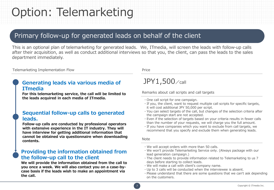# Option: Telemarketing

### Primary follow-up for generated leads on behalf of the client

This is an optional plan of telemarketing for generated leads. We, ITmedia, will screen the leads with follow-up calls after their acquisition, as well as conduct additional interviews so that you, the client, can pass the leads to the sales department immediately.

#### Telemarketing Implementation Flow

### **Generating leads via various media of ITmedia**

**For this telemarketing service, the call will be limited to the leads acquired in each media of ITmedia.**

### **Sequential follow-up calls to generated leads.**

**Follow-up calls are conducted by professional operators with extensive experience in the IT industry. They will have interview for getting additional information that cannot be obtained via questionnaire when downloading contents.**

### **Providing the information obtained from the follow-up call to the client**

**We will provide the information obtained from the call to you once a week. We will also contact you on a case-bycase basis if the leads wish to make an appointment via the call.**

Price

### JPY1,500/call

Remarks about call scripts and call targets

- ・One call script for one campaign.
- ・If you, the client, want to request multiple call scripts for specific targets, it will cost additional JPY 50,000 per script.
- ・You can select targets of the call, but changes of the selection criteria after the campaign start are not accepted.
- ・Even if the selection of targets based on your criteria results in fewer calls than the number of your requests, we will charge you the full amount.
- ・If you have companies which you want to exclude from call targets, we recommend that you specify and exclude them when generating leads.

#### Note

- ・We will accept orders with more than 50 calls.
- ・We won't provide Telemarketing Service only. (Always package with our lead generation campaign.)
- ・The client needs to provide information related to Telemarketing to us 7 days before starting to collect leads.
- ・We will make a call with client's company name.
- ・Up to 3 calls will be conducted when the interviewee is absent.
- ・Please understand that there are some questions that we can't ask depending on the customers.



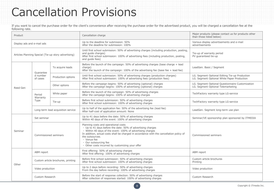## Cancellation Provisions

If you want to cancel the purchase order for the client's convenience after receiving the purchase order for the advertised product, you will be charged a cancellation fee at the following rate.

| Product                                              |                                    |                                    | Cancellation charge                                                                                                                                                                                                                                                                                                                                                          | Major products (please contact us for products other<br>than those listed below)              |
|------------------------------------------------------|------------------------------------|------------------------------------|------------------------------------------------------------------------------------------------------------------------------------------------------------------------------------------------------------------------------------------------------------------------------------------------------------------------------------------------------------------------------|-----------------------------------------------------------------------------------------------|
| Display ads and e-mail ads                           |                                    |                                    | Up to the deadline for submission: 50%<br>After the deadline for submission: 100%                                                                                                                                                                                                                                                                                            | Various display advertisements and e-mail<br>advertisements                                   |
| Articles Planning Special (Tie-up story advertising) |                                    |                                    | Until first school submission: 50% of advertising charges (including production, posting,<br>and quide charges)<br>After first school submission: 100% of advertising fees (including production, posting,<br>and quide fees)                                                                                                                                                | Tie-up of warranty period<br>PV quaranteed tie-up                                             |
|                                                      | Guarantee                          | To acquire leads                   | Before the launch of the campaign: 50% of advertising charges (base charge + lead<br>charge)<br>After the launch of the campaign: $100\%$ of the advertising fee (base fee + lead fee)                                                                                                                                                                                       | LeadGen. Basic / Segment                                                                      |
|                                                      | d number<br>of cases               | Production options                 | Until first school submission: 50% of advertising charges (production charges)<br>After first school submission: 100% of advertising fees (production fees)                                                                                                                                                                                                                  | LG. Segment Optional Editing Tie-up Production<br>LG. Segment Optional White Paper Production |
| Reed Gen                                             |                                    | Other options                      | Before the campaign begins: 50% of advertising (optional) charges<br>After the campaign begins: 100% of advertising (optional) charges                                                                                                                                                                                                                                       | LG. Segment Optional Questionnaire Customization<br>LG. Segment Optional Telemarketing        |
|                                                      | Period<br>Warranty<br>Type         | White paper                        | Before the launch of the campaign: 50% of advertising charges<br>After the campaign begins: 100% of advertising charges                                                                                                                                                                                                                                                      | TechFactory warranty type LG-service                                                          |
|                                                      |                                    | Tie-up                             | Before first school submission: 50% of advertising charges<br>After first school submission: 100% of advertising charges                                                                                                                                                                                                                                                     | TechFactory warranty type LG-service                                                          |
|                                                      | Long-term lead acquisition service |                                    | Up to half of the application fee: 50% of the advertising fee (lead fee)<br>After half-cost of application amount: None                                                                                                                                                                                                                                                      | LeadGen. Segment long-term use plan                                                           |
| Seminar                                              | Set seminar                        |                                    | Up to 41 days before the date: 50% of advertising charges<br>Within 40 days of the event: 100% of advertising charges                                                                                                                                                                                                                                                        | Seminar/VE sponsorship plan sponsored by ITMEDIA                                              |
|                                                      | Commissioned seminars              |                                    | Planning costs and operational costs<br>• Up to 41 days before the date: 50% of advertising charges<br>· Within 40 days of the event: 100% of advertising charges<br>In addition, actual costs shall be charged in accordance with the cancellation policy of<br>the outsourcee.<br>· Venue fee<br>· Our outsourcing fee<br>• Other costs incurred by customizing your offer | Commissioned seminars                                                                         |
|                                                      | ABM report                         |                                    | First offering: 50% of advertising charges<br>After first offering: 100% of advertising charges                                                                                                                                                                                                                                                                              | ABM report                                                                                    |
|                                                      |                                    | Custom article brochures, printing | Before first school submission: 50% of advertising charges<br>After first school submission: 100% of advertising charges                                                                                                                                                                                                                                                     | Custom article brochures<br>Printing                                                          |
| Other                                                | Video production                   |                                    | Up to 2 days before recording: 50% of advertising charges<br>From the day before recording: 100% of advertising charges                                                                                                                                                                                                                                                      | Video production                                                                              |
|                                                      | Custom Research                    |                                    | Before the start of response collection: 50% of advertising charges<br>After collection of responses started: 100% of advertising charges                                                                                                                                                                                                                                    | Custom Research                                                                               |